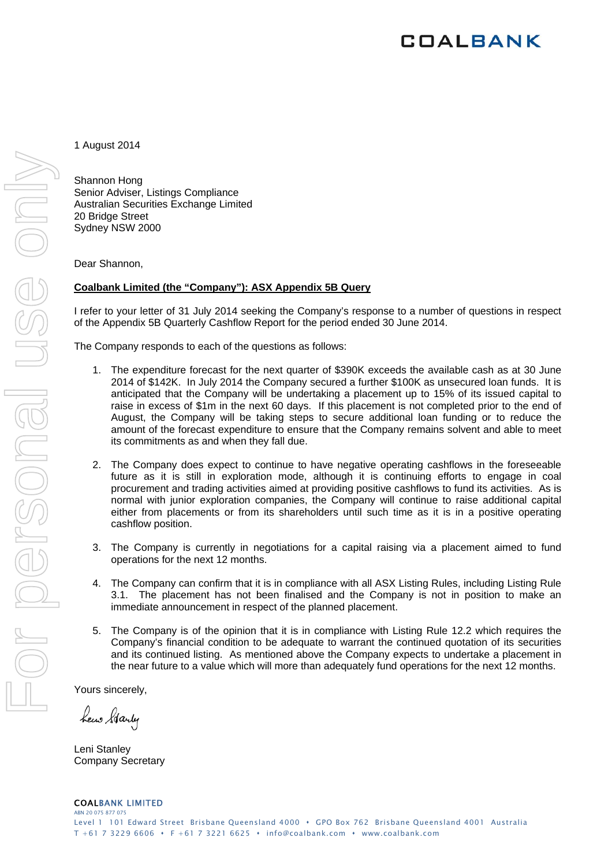# **COALBANK**

1 August 2014

Shannon Hong Senior Adviser, Listings Compliance Australian Securities Exchange Limited 20 Bridge Street Sydney NSW 2000

Dear Shannon,

#### **Coalbank Limited (the "Company"): ASX Appendix 5B Query**

I refer to your letter of 31 July 2014 seeking the Company's response to a number of questions in respect of the Appendix 5B Quarterly Cashflow Report for the period ended 30 June 2014.

The Company responds to each of the questions as follows:

- 1. The expenditure forecast for the next quarter of \$390K exceeds the available cash as at 30 June 2014 of \$142K. In July 2014 the Company secured a further \$100K as unsecured loan funds. It is anticipated that the Company will be undertaking a placement up to 15% of its issued capital to raise in excess of \$1m in the next 60 days. If this placement is not completed prior to the end of August, the Company will be taking steps to secure additional loan funding or to reduce the amount of the forecast expenditure to ensure that the Company remains solvent and able to meet its commitments as and when they fall due.
- 2. The Company does expect to continue to have negative operating cashflows in the foreseeable future as it is still in exploration mode, although it is continuing efforts to engage in coal procurement and trading activities aimed at providing positive cashflows to fund its activities. As is normal with junior exploration companies, the Company will continue to raise additional capital either from placements or from its shareholders until such time as it is in a positive operating cashflow position.
- 3. The Company is currently in negotiations for a capital raising via a placement aimed to fund operations for the next 12 months.
- 4. The Company can confirm that it is in compliance with all ASX Listing Rules, including Listing Rule 3.1. The placement has not been finalised and the Company is not in position to make an immediate announcement in respect of the planned placement.
- 5. The Company is of the opinion that it is in compliance with Listing Rule 12.2 which requires the Company's financial condition to be adequate to warrant the continued quotation of its securities and its continued listing. As mentioned above the Company expects to undertake a placement in the near future to a value which will more than adequately fund operations for the next 12 months.

Yours sincerely,

hew Starty

Leni Stanley Company Secretary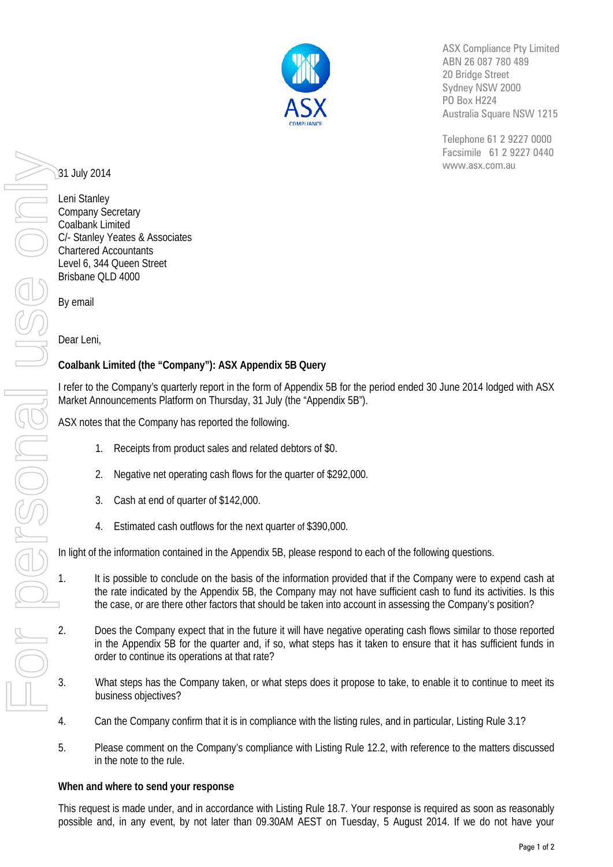

ASX Compliance Pty Limited ABN 26 087 780 489 20 Bridge Street Sydney NSW 2000 PO Box H224 Australia Square NSW 1215

Telephone 61 2 9227 0000 Facsimile 61 2 9227 0440 www.asx.com.au

31 July 2014

Leni Stanley Company Secretary Coalbank Limited C/- Stanley Yeates & Associates Chartered Accountants Level 6, 344 Queen Street Brisbane QLD 4000

By email

Dear Leni,

## **Coalbank Limited (the "Company"): ASX Appendix 5B Query**

I refer to the Company's quarterly report in the form of Appendix 5B for the period ended 30 June 2014 lodged with ASX Market Announcements Platform on Thursday, 31 July (the "Appendix 5B").

ASX notes that the Company has reported the following.

- Receipts from product sales and related debtors of \$0.
- 2. Negative net operating cash flows for the quarter of \$292,000.
- Cash at end of quarter of \$142,000.
- 4. Estimated cash outflows for the next quarter of \$390,000.

In light of the information contained in the Appendix 5B, please respond to each of the following questions.

- 1. It is possible to conclude on the basis of the information provided that if the Company were to expend cash at the rate indicated by the Appendix 5B, the Company may not have sufficient cash to fund its activities. Is this the case, or are there other factors that should be taken into account in assessing the Company's position?
- 2. Does the Company expect that in the future it will have negative operating cash flows similar to those reported in the Appendix 5B for the quarter and, if so, what steps has it taken to ensure that it has sufficient funds in order to continue its operations at that rate?
	- 3. What steps has the Company taken, or what steps does it propose to take, to enable it to continue to meet its business objectives?
- 4. Can the Company confirm that it is in compliance with the listing rules, and in particular, Listing Rule 3.1?
- 5. Please comment on the Company's compliance with Listing Rule 12.2, with reference to the matters discussed in the note to the rule.

#### **When and where to send your response**

This request is made under, and in accordance with Listing Rule 18.7. Your response is required as soon as reasonably possible and, in any event, by not later than 09.30AM AEST on Tuesday, 5 August 2014. If we do not have your